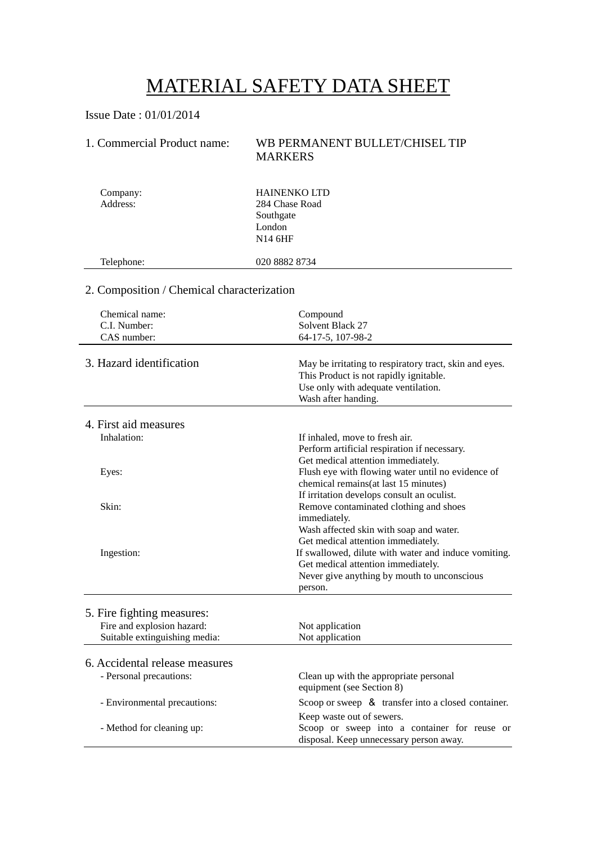# MATERIAL SAFETY DATA SHEET

Issue Date : 01/01/2014

### 1. Commercial Product name: WB PERMANENT BULLET/CHISEL TIP MARKERS

| Company:<br>Address:                                        | <b>HAINENKO LTD</b><br>284 Chase Road<br>Southgate<br>London<br><b>N14 6HF</b>                                                                                 |  |
|-------------------------------------------------------------|----------------------------------------------------------------------------------------------------------------------------------------------------------------|--|
| Telephone:                                                  | 020 8882 8734                                                                                                                                                  |  |
| 2. Composition / Chemical characterization                  |                                                                                                                                                                |  |
| Chemical name:<br>C.I. Number:<br>CAS number:               | Compound<br>Solvent Black 27<br>64-17-5, 107-98-2                                                                                                              |  |
| 3. Hazard identification                                    | May be irritating to respiratory tract, skin and eyes.<br>This Product is not rapidly ignitable.<br>Use only with adequate ventilation.<br>Wash after handing. |  |
| 4. First aid measures                                       |                                                                                                                                                                |  |
| Inhalation:                                                 | If inhaled, move to fresh air.<br>Perform artificial respiration if necessary.<br>Get medical attention immediately.                                           |  |
| Eyes:                                                       | Flush eye with flowing water until no evidence of<br>chemical remains (at last 15 minutes)<br>If irritation develops consult an oculist.                       |  |
| Skin:                                                       | Remove contaminated clothing and shoes<br>immediately.<br>Wash affected skin with soap and water.<br>Get medical attention immediately.                        |  |
| Ingestion:                                                  | If swallowed, dilute with water and induce vomiting.<br>Get medical attention immediately.<br>Never give anything by mouth to unconscious<br>person.           |  |
| 5. Fire fighting measures:                                  |                                                                                                                                                                |  |
| Fire and explosion hazard:<br>Suitable extinguishing media: | Not application<br>Not application                                                                                                                             |  |
| 6. Accidental release measures                              |                                                                                                                                                                |  |
| - Personal precautions:                                     | Clean up with the appropriate personal<br>equipment (see Section 8)                                                                                            |  |
| - Environmental precautions:                                | Scoop or sweep & transfer into a closed container.                                                                                                             |  |
| - Method for cleaning up:                                   | Keep waste out of sewers.<br>Scoop or sweep into a container for reuse or<br>disposal. Keep unnecessary person away.                                           |  |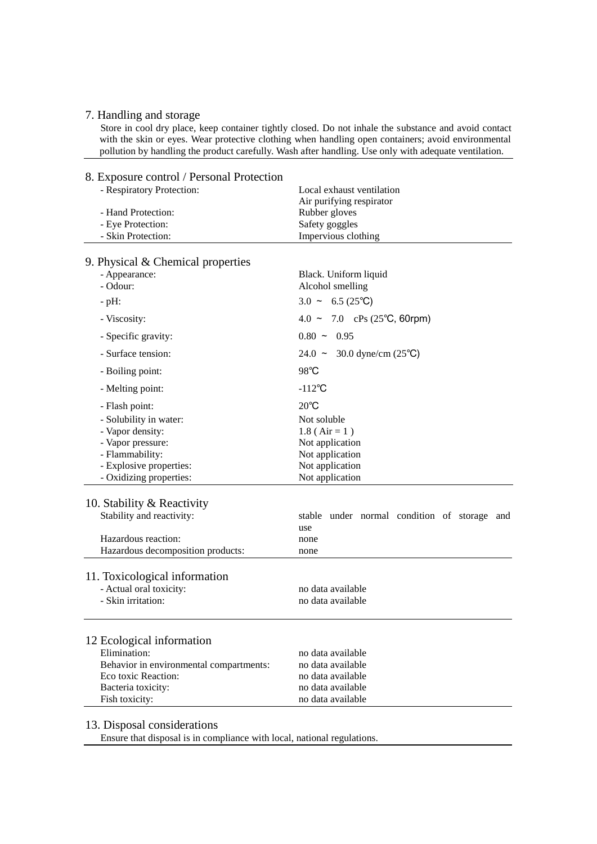#### 7. Handling and storage

 Store in cool dry place, keep container tightly closed. Do not inhale the substance and avoid contact with the skin or eyes. Wear protective clothing when handling open containers; avoid environmental pollution by handling the product carefully. Wash after handling. Use only with adequate ventilation.

## 8. Exposure control / Personal Protection

| - Respiratory Protection:               | Local exhaust ventilation                    |
|-----------------------------------------|----------------------------------------------|
| - Hand Protection:                      | Air purifying respirator<br>Rubber gloves    |
| - Eye Protection:                       | Safety goggles                               |
| - Skin Protection:                      | Impervious clothing                          |
|                                         |                                              |
| 9. Physical $&$ Chemical properties     |                                              |
| - Appearance:                           | Black. Uniform liquid                        |
| - Odour:                                | Alcohol smelling                             |
| $-pH$ :                                 | $3.0 \sim 6.5(25^{\circ}\text{C})$           |
| - Viscosity:                            | $4.0 \sim 7.0$ cPs (25°C, 60rpm)             |
| - Specific gravity:                     | $0.80 - 0.95$                                |
| - Surface tension:                      | $24.0 \sim 30.0$ dyne/cm (25°C)              |
| - Boiling point:                        | 98°C                                         |
| - Melting point:                        | $-112^{\circ}C$                              |
| - Flash point:                          | $20^{\circ}$ C                               |
| - Solubility in water:                  | Not soluble                                  |
| - Vapor density:                        | $1.8$ (Air = 1)                              |
| - Vapor pressure:                       | Not application                              |
| - Flammability:                         | Not application                              |
| - Explosive properties:                 | Not application                              |
| - Oxidizing properties:                 | Not application                              |
| 10. Stability & Reactivity              |                                              |
| Stability and reactivity:               | stable under normal condition of storage and |
|                                         | use                                          |
| Hazardous reaction:                     | none                                         |
| Hazardous decomposition products:       | none                                         |
|                                         |                                              |
| 11. Toxicological information           |                                              |
| - Actual oral toxicity:                 | no data available                            |
| - Skin irritation:                      | no data available                            |
|                                         |                                              |
|                                         |                                              |
| 12 Ecological information               |                                              |
| Elimination:                            | no data available                            |
| Behavior in environmental compartments: | no data available<br>no data available       |
| Eco toxic Reaction:                     |                                              |
| Bacteria toxicity:                      | no data available                            |
| Fish toxicity:                          | no data available                            |

#### 13. Disposal considerations

Ensure that disposal is in compliance with local, national regulations.